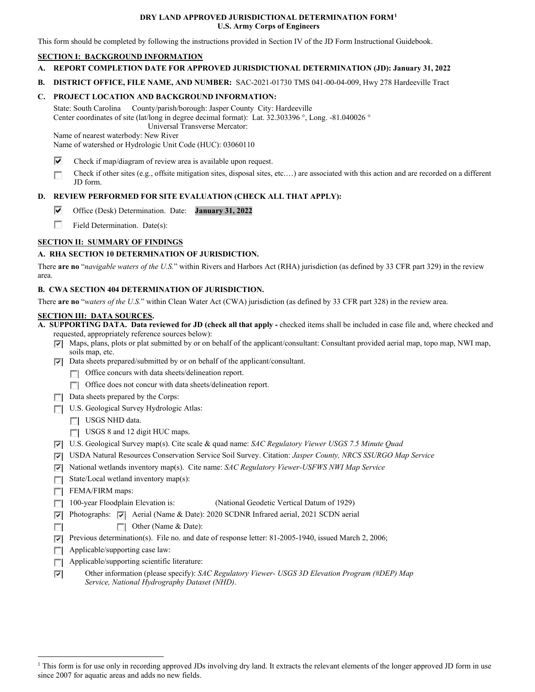#### **DRY LAND APPROVED JURISDICTIONAL DETERMINATION FORM[1](#page-0-0) U.S. Army Corps of Engineers**

This form should be completed by following the instructions provided in Section IV of the JD Form Instructional Guidebook.

### **SECTION I: BACKGROUND INFORMATION**

- **A. REPORT COMPLETION DATE FOR APPROVED JURISDICTIONAL DETERMINATION (JD): January 31, 2022**
- **B. DISTRICT OFFICE, FILE NAME, AND NUMBER:** SAC-2021-01730 TMS 041-00-04-009, Hwy 278 Hardeeville Tract

### **C. PROJECT LOCATION AND BACKGROUND INFORMATION:**

State: South Carolina County/parish/borough: Jasper County City: Hardeeville Center coordinates of site (lat/long in degree decimal format): Lat. 32.303396 °, Long. -81.040026 ° Universal Transverse Mercator:

Name of nearest waterbody: New River

Name of watershed or Hydrologic Unit Code (HUC): 03060110

- ⊽ Check if map/diagram of review area is available upon request.
- Check if other sites (e.g., offsite mitigation sites, disposal sites, etc.…) are associated with this action and are recorded on a different Г JD form.

# **D. REVIEW PERFORMED FOR SITE EVALUATION (CHECK ALL THAT APPLY):**

- ⊽ Office (Desk) Determination. Date: **January 31, 2022**
- 55 Field Determination. Date(s):

# **SECTION II: SUMMARY OF FINDINGS**

# **A. RHA SECTION 10 DETERMINATION OF JURISDICTION.**

There **are no** "*navigable waters of the U.S.*" within Rivers and Harbors Act (RHA) jurisdiction (as defined by 33 CFR part 329) in the review area.

### **B. CWA SECTION 404 DETERMINATION OF JURISDICTION.**

There **are no** "*waters of the U.S.*" within Clean Water Act (CWA) jurisdiction (as defined by 33 CFR part 328) in the review area.

#### **SECTION III: DATA SOURCES.**

**A. SUPPORTING DATA. Data reviewed for JD (check all that apply -** checked items shall be included in case file and, where checked and requested, appropriately reference sources below):

- $\nabla$  Maps, plans, plots or plat submitted by or on behalf of the applicant/consultant: Consultant provided aerial map, topo map, NWI map, soils map, etc.
- $\nabla$  Data sheets prepared/submitted by or on behalf of the applicant/consultant.
	- **T** Office concurs with data sheets/delineation report.
	- Office does not concur with data sheets/delineation report.
- $\Box$  Data sheets prepared by the Corps:
- U.S. Geological Survey Hydrologic Atlas:
	- USGS NHD data.
	- USGS 8 and 12 digit HUC maps.
- U.S. Geological Survey map(s). Cite scale & quad name: *SAC Regulatory Viewer USGS 7.5 Minute Quad*
- USDA Natural Resources Conservation Service Soil Survey. Citation: *Jasper County, NRCS SSURGO Map Service*
- National wetlands inventory map(s). Cite name: *SAC Regulatory Viewer-USFWS NWI Map Service*
- State/Local wetland inventory map(s):
- F FEMA/FIRM maps:

 $\overline{\mathcal{L}^{\mathcal{A}}_{\mathcal{A}}}$ 

- 100-year Floodplain Elevation is:(National Geodetic Vertical Datum of 1929)
- $\nabla$  Photographs:  $\nabla$  Aerial (Name & Date): 2020 SCDNR Infrared aerial, 2021 SCDN aerial
	- Other (Name & Date):
- Previous determination(s). File no. and date of response letter:  $81-2005-1940$ , issued March 2, 2006;
- $\Box$  Applicable/supporting case law:
- Applicable/supporting scientific literature:
- Other information (please specify): *SAC Regulatory Viewer- USGS 3D Elevation Program (#DEP) Map* ⊽ *Service, National Hydrography Dataset (NHD)*.

<span id="page-0-0"></span><sup>&</sup>lt;sup>1</sup> This form is for use only in recording approved JDs involving dry land. It extracts the relevant elements of the longer approved JD form in use since 2007 for aquatic areas and adds no new fields.